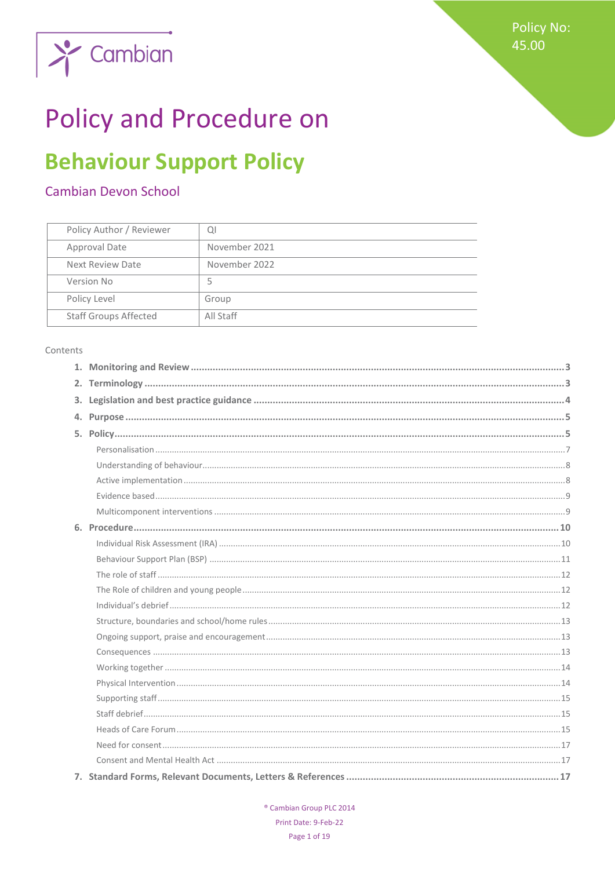

## **Policy and Procedure on**

## **Behaviour Support Policy**

## Cambian Devon School

| Policy Author / Reviewer     | Q             |
|------------------------------|---------------|
| Approval Date                | November 2021 |
| Next Review Date             | November 2022 |
| Version No                   | 5             |
| Policy Level                 | Group         |
| <b>Staff Groups Affected</b> | All Staff     |

#### Contents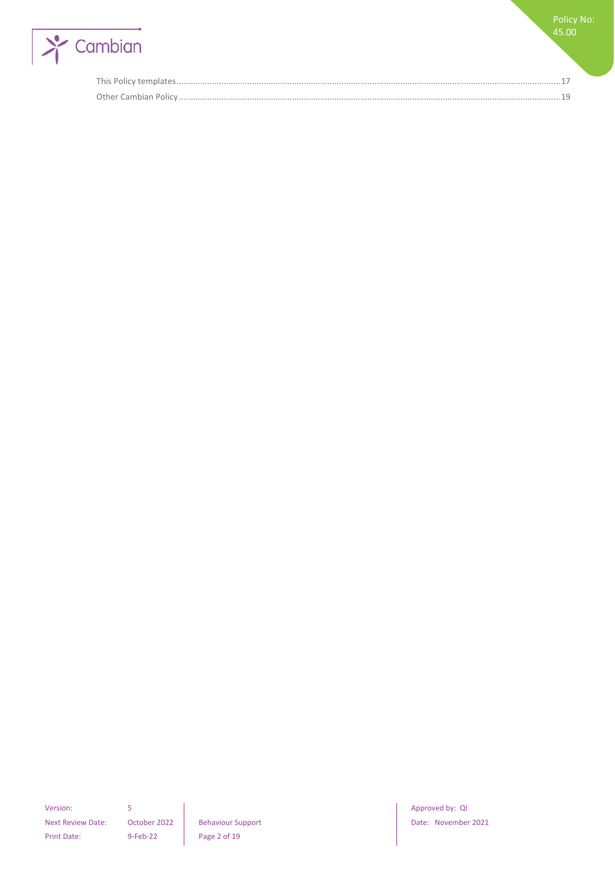

Policy No: 45.00

Version: 5 **S Approved by: QI Approved by: QI Approved by: QI** Next Review Date: October 2022 | Behaviour Support | Date: November 2021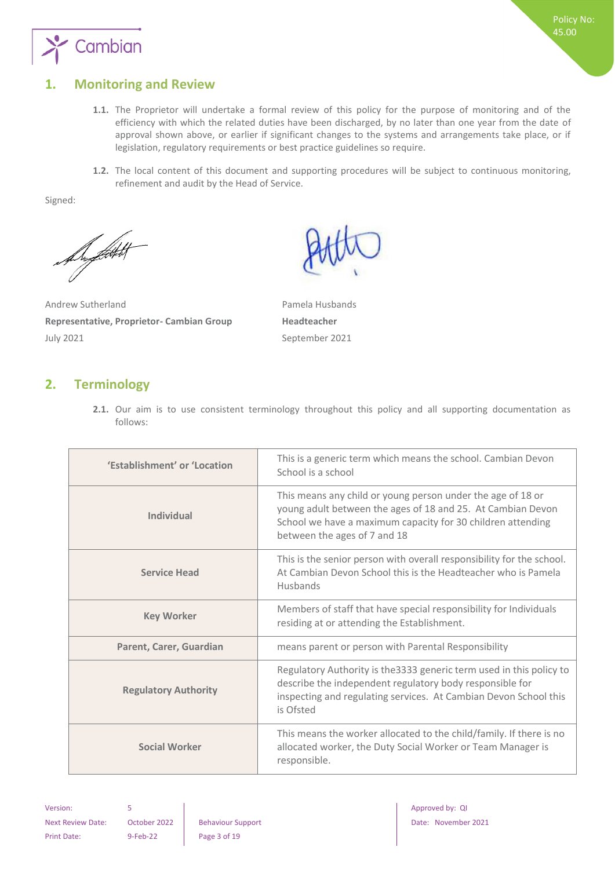

## <span id="page-2-0"></span>**1. Monitoring and Review**

- **1.1.** The Proprietor will undertake a formal review of this policy for the purpose of monitoring and of the efficiency with which the related duties have been discharged, by no later than one year from the date of approval shown above, or earlier if significant changes to the systems and arrangements take place, or if legislation, regulatory requirements or best practice guidelines so require.
- **1.2.** The local content of this document and supporting procedures will be subject to continuous monitoring, refinement and audit by the Head of Service.

Signed:

De fløtt

Andrew Sutherland **Pamela Husbands Representative, Proprietor- Cambian Group <b>Headteacher** July 2021 September 2021



## <span id="page-2-1"></span>**2. Terminology**

**2.1.** Our aim is to use consistent terminology throughout this policy and all supporting documentation as follows:

| 'Establishment' or 'Location | This is a generic term which means the school. Cambian Devon<br>School is a school                                                                                                                                        |  |
|------------------------------|---------------------------------------------------------------------------------------------------------------------------------------------------------------------------------------------------------------------------|--|
| <b>Individual</b>            | This means any child or young person under the age of 18 or<br>young adult between the ages of 18 and 25. At Cambian Devon<br>School we have a maximum capacity for 30 children attending<br>between the ages of 7 and 18 |  |
| <b>Service Head</b>          | This is the senior person with overall responsibility for the school.<br>At Cambian Devon School this is the Headteacher who is Pamela<br>Husbands                                                                        |  |
| <b>Key Worker</b>            | Members of staff that have special responsibility for Individuals<br>residing at or attending the Establishment.                                                                                                          |  |
| Parent, Carer, Guardian      | means parent or person with Parental Responsibility                                                                                                                                                                       |  |
| <b>Regulatory Authority</b>  | Regulatory Authority is the 3333 generic term used in this policy to<br>describe the independent regulatory body responsible for<br>inspecting and regulating services. At Cambian Devon School this<br>is Ofsted         |  |
| <b>Social Worker</b>         | This means the worker allocated to the child/family. If there is no<br>allocated worker, the Duty Social Worker or Team Manager is<br>responsible.                                                                        |  |

Print Date: 9-Feb-22 Page 3 of 19

Version: 5 **Approved by: QI Approved by: QI Approved by: QI** Next Review Date: October 2022 Behaviour Support Date: November 2021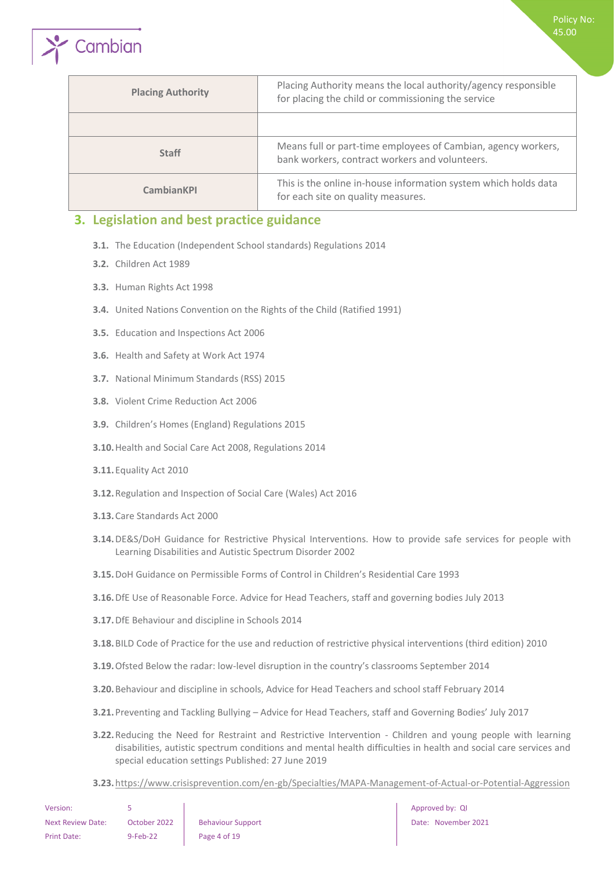| <b>Placing Authority</b> | Placing Authority means the local authority/agency responsible<br>for placing the child or commissioning the service |
|--------------------------|----------------------------------------------------------------------------------------------------------------------|
|                          |                                                                                                                      |
| <b>Staff</b>             | Means full or part-time employees of Cambian, agency workers,<br>bank workers, contract workers and volunteers.      |
| <b>CambianKPI</b>        | This is the online in-house information system which holds data<br>for each site on quality measures.                |

## <span id="page-3-0"></span>**3. Legislation and best practice guidance**

- **3.1.** The Education (Independent School standards) Regulations 2014
- **3.2.** Children Act 1989

Cambian

- **3.3.** Human Rights Act 1998
- **3.4.** United Nations Convention on the Rights of the Child (Ratified 1991)
- **3.5.** Education and Inspections Act 2006
- **3.6.** Health and Safety at Work Act 1974
- **3.7.** National Minimum Standards (RSS) 2015
- **3.8.** Violent Crime Reduction Act 2006
- **3.9.** Children's Homes (England) Regulations 2015
- **3.10.**Health and Social Care Act 2008, Regulations 2014
- **3.11.**Equality Act 2010
- **3.12.**[Regulation and Inspection of Social Care \(Wales\) Act 2016](http://www.senedd.assembly.wales/mgIssueHistoryHome.aspx?IId=12110)
- **3.13.**Care Standards Act 2000
- **3.14.**DE&S/DoH Guidance for Restrictive Physical Interventions. How to provide safe services for people with Learning Disabilities and Autistic Spectrum Disorder 2002
- **3.15.**DoH Guidance on Permissible Forms of Control in Children's Residential Care 1993
- **3.16.**DfE Use of Reasonable Force. Advice for Head Teachers, staff and governing bodies July 2013
- **3.17.**DfE Behaviour and discipline in Schools 2014
- **3.18.**BILD Code of Practice for the use and reduction of restrictive physical interventions (third edition) 2010
- **3.19.**Ofsted Below the radar: low-level disruption in the country's classrooms September 2014
- **3.20.**Behaviour and discipline in schools, Advice for Head Teachers and school staff February 2014
- **3.21.**Preventing and Tackling Bullying Advice for Head Teachers, staff and Governing Bodies' July 2017
- **3.22.**Reducing the Need for Restraint and Restrictive Intervention Children and young people with learning disabilities, autistic spectrum conditions and mental health difficulties in health and social care services and special education settings Published: 27 June 2019
- **3.23.**<https://www.crisisprevention.com/en-gb/Specialties/MAPA-Management-of-Actual-or-Potential-Aggression>

| Version:                 |              |                          |
|--------------------------|--------------|--------------------------|
| <b>Next Review Date:</b> | October 2022 | <b>Behaviour Support</b> |
| Print Date:              | $9-Feb-22$   | Page 4 of 19             |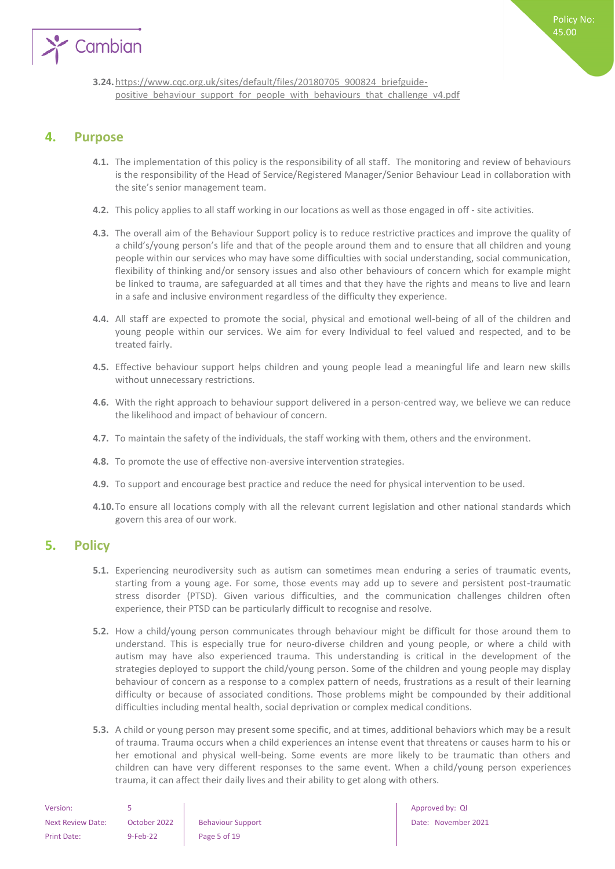

**3.24.**[https://www.cqc.org.uk/sites/default/files/20180705\\_900824\\_briefguide](https://www.cqc.org.uk/sites/default/files/20180705_900824_briefguide-positive_behaviour_support_for_people_with_behaviours_that_challenge_v4.pdf)positive behaviour support for people with behaviours that challenge v4.pdf

### <span id="page-4-0"></span>**4. Purpose**

- **4.1.** The implementation of this policy is the responsibility of all staff. The monitoring and review of behaviours is the responsibility of the Head of Service/Registered Manager/Senior Behaviour Lead in collaboration with the site's senior management team.
- **4.2.** This policy applies to all staff working in our locations as well as those engaged in off site activities.
- **4.3.** The overall aim of the Behaviour Support policy is to reduce restrictive practices and improve the quality of a child's/young person's life and that of the people around them and to ensure that all children and young people within our services who may have some difficulties with social understanding, social communication, flexibility of thinking and/or sensory issues and also other behaviours of concern which for example might be linked to trauma, are safeguarded at all times and that they have the rights and means to live and learn in a safe and inclusive environment regardless of the difficulty they experience.
- **4.4.** All staff are expected to promote the social, physical and emotional well-being of all of the children and young people within our services. We aim for every Individual to feel valued and respected, and to be treated fairly.
- **4.5.** Effective behaviour support helps children and young people lead a meaningful life and learn new skills without unnecessary restrictions.
- **4.6.** With the right approach to behaviour support delivered in a person-centred way, we believe we can reduce the likelihood and impact of behaviour of concern.
- **4.7.** To maintain the safety of the individuals, the staff working with them, others and the environment.
- **4.8.** To promote the use of effective non-aversive intervention strategies.
- **4.9.** To support and encourage best practice and reduce the need for physical intervention to be used.
- **4.10.**To ensure all locations comply with all the relevant current legislation and other national standards which govern this area of our work.

## <span id="page-4-1"></span>**5. Policy**

- **5.1.** Experiencing neurodiversity such as autism can sometimes mean enduring a series of traumatic events, starting from a young age. For some, those events may add up to severe and persistent post-traumatic stress disorder (PTSD). Given various difficulties, and the communication challenges children often experience, their PTSD can be particularly difficult to recognise and resolve.
- **5.2.** How a child/young person communicates through behaviour might be difficult for those around them to understand. This is especially true for neuro-diverse children and young people, or where a child with autism may have also experienced trauma. This understanding is critical in the development of the strategies deployed to support the child/young person. Some of the children and young people may display behaviour of concern as a response to a complex pattern of needs, frustrations as a result of their learning difficulty or because of associated conditions. Those problems might be compounded by their additional difficulties including mental health, social deprivation or complex medical conditions.
- **5.3.** A child or young person may present some specific, and at times, additional behaviors which may be a result of trauma. Trauma occurs when a child experiences an intense event that threatens or causes harm to his or her emotional and physical well-being. Some events are more likely to be traumatic than others and children can have very different responses to the same event. When a child/young person experiences trauma, it can affect their daily lives and their ability to get along with others.

| Version:                 |              |                          |
|--------------------------|--------------|--------------------------|
| <b>Next Review Date:</b> | October 2022 | <b>Behaviour Support</b> |
| <b>Print Date:</b>       | 9-Feb-22     | Page 5 of 19             |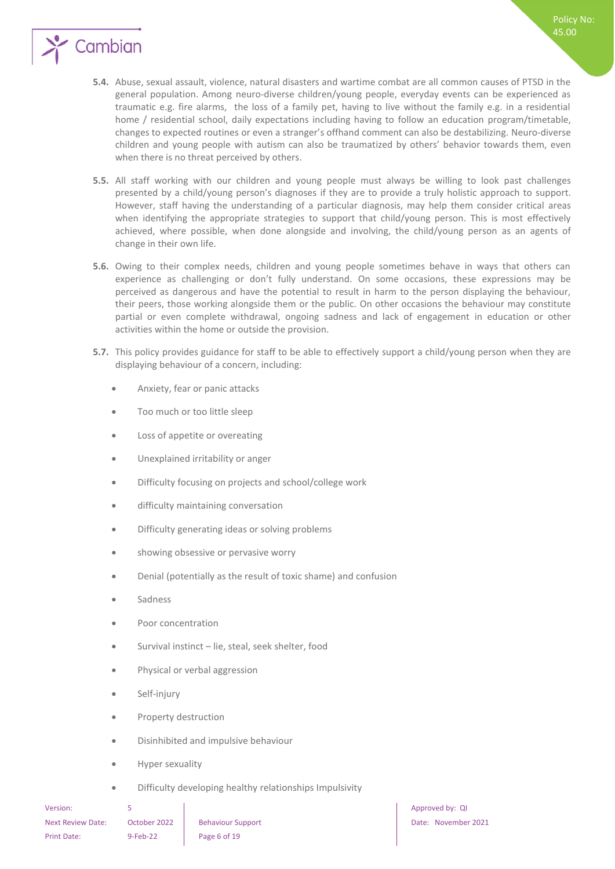

- **5.5.** All staff working with our children and young people must always be willing to look past challenges presented by a child/young person's diagnoses if they are to provide a truly holistic approach to support. However, staff having the understanding of a particular diagnosis, may help them consider critical areas when identifying the appropriate strategies to support that child/young person. This is most effectively achieved, where possible, when done alongside and involving, the child/young person as an agents of change in their own life.
- **5.6.** Owing to their complex needs, children and young people sometimes behave in ways that others can experience as challenging or don't fully understand. On some occasions, these expressions may be perceived as dangerous and have the potential to result in harm to the person displaying the behaviour, their peers, those working alongside them or the public. On other occasions the behaviour may constitute partial or even complete withdrawal, ongoing sadness and lack of engagement in education or other activities within the home or outside the provision.
- **5.7.** This policy provides guidance for staff to be able to effectively support a child/young person when they are displaying behaviour of a concern, including:
	- Anxiety, fear or panic attacks
	- Too much or too little sleep
	- Loss of appetite or overeating
	- Unexplained irritability or anger
	- Difficulty focusing on projects and school/college work
	- **•** difficulty maintaining conversation
	- Difficulty generating ideas or solving problems
	- showing obsessive or pervasive worry
	- Denial (potentially as the result of toxic shame) and confusion
	- Sadness
	- Poor concentration
	- Survival instinct lie, steal, seek shelter, food
	- Physical or verbal aggression
	- Self-injury
	- Property destruction
	- Disinhibited and impulsive behaviour
	- Hyper sexuality
	- Difficulty developing healthy relationships Impulsivity

Next Review Date: October 2022 Behaviour Support Next Review Date: November 2021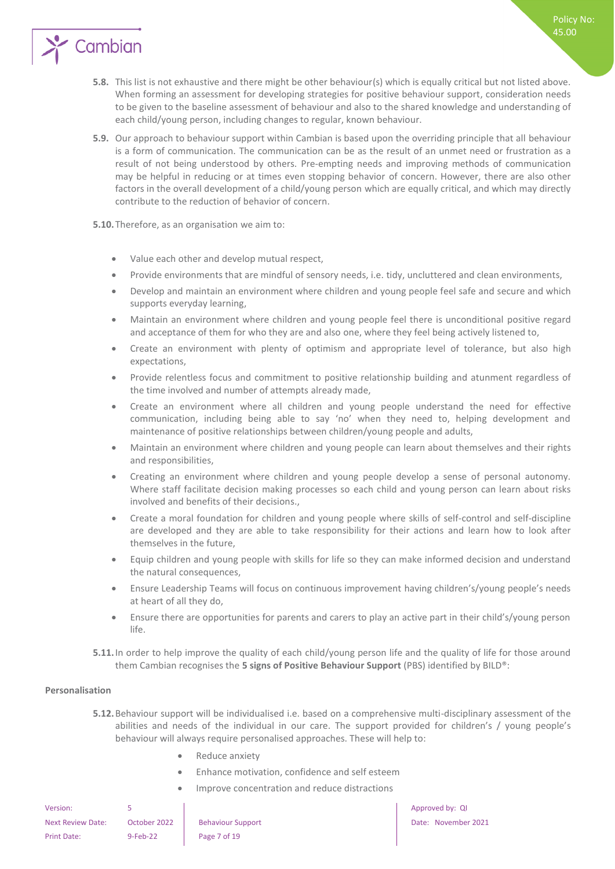**5.8.** This list is not exhaustive and there might be other behaviour(s) which is equally critical but not listed above. When forming an assessment for developing strategies for positive behaviour support, consideration needs to be given to the baseline assessment of behaviour and also to the shared knowledge and understanding of each child/young person, including changes to regular, known behaviour.

Policy No: 45.00

**5.9.** Our approach to behaviour support within Cambian is based upon the overriding principle that all behaviour is a form of communication. The communication can be as the result of an unmet need or frustration as a result of not being understood by others. Pre-empting needs and improving methods of communication may be helpful in reducing or at times even stopping behavior of concern. However, there are also other factors in the overall development of a child/young person which are equally critical, and which may directly contribute to the reduction of behavior of concern.

**5.10.**Therefore, as an organisation we aim to:

Cambian

- Value each other and develop mutual respect,
- Provide environments that are mindful of sensory needs, i.e. tidy, uncluttered and clean environments,
- Develop and maintain an environment where children and young people feel safe and secure and which supports everyday learning,
- Maintain an environment where children and young people feel there is unconditional positive regard and acceptance of them for who they are and also one, where they feel being actively listened to,
- Create an environment with plenty of optimism and appropriate level of tolerance, but also high expectations,
- Provide relentless focus and commitment to positive relationship building and atunment regardless of the time involved and number of attempts already made,
- Create an environment where all children and young people understand the need for effective communication, including being able to say 'no' when they need to, helping development and maintenance of positive relationships between children/young people and adults,
- Maintain an environment where children and young people can learn about themselves and their rights and responsibilities,
- Creating an environment where children and young people develop a sense of personal autonomy. Where staff facilitate decision making processes so each child and young person can learn about risks involved and benefits of their decisions.,
- Create a moral foundation for children and young people where skills of self-control and self-discipline are developed and they are able to take responsibility for their actions and learn how to look after themselves in the future,
- Equip children and young people with skills for life so they can make informed decision and understand the natural consequences,
- Ensure Leadership Teams will focus on continuous improvement having children's/young people's needs at heart of all they do,
- Ensure there are opportunities for parents and carers to play an active part in their child's/young person life.
- **5.11.**In order to help improve the quality of each child/young person life and the quality of life for those around them Cambian recognises the **5 signs of Positive Behaviour Support** (PBS) identified by BILD®:

#### <span id="page-6-0"></span>**Personalisation**

- **5.12.**Behaviour support will be individualised i.e. based on a comprehensive multi-disciplinary assessment of the abilities and needs of the individual in our care. The support provided for children's / young people's behaviour will always require personalised approaches. These will help to:
	- Reduce anxiety
	- Enhance motivation, confidence and self esteem
	- Improve concentration and reduce distractions

| Version:                 |              |                          |
|--------------------------|--------------|--------------------------|
| <b>Next Review Date:</b> | October 2022 | <b>Behaviour Support</b> |
| <b>Print Date:</b>       | $9$ -Feb-22  | Page 7 of 19             |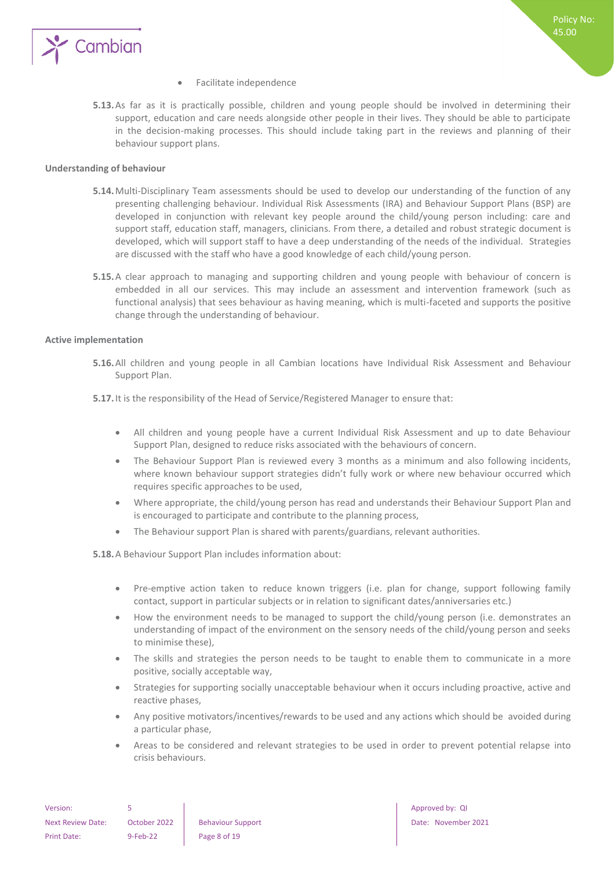

- Facilitate independence
- **5.13.**As far as it is practically possible, children and young people should be involved in determining their support, education and care needs alongside other people in their lives. They should be able to participate in the decision-making processes. This should include taking part in the reviews and planning of their behaviour support plans.

#### <span id="page-7-0"></span>**Understanding of behaviour**

- **5.14.**Multi-Disciplinary Team assessments should be used to develop our understanding of the function of any presenting challenging behaviour. Individual Risk Assessments (IRA) and Behaviour Support Plans (BSP) are developed in conjunction with relevant key people around the child/young person including: care and support staff, education staff, managers, clinicians. From there, a detailed and robust strategic document is developed, which will support staff to have a deep understanding of the needs of the individual. Strategies are discussed with the staff who have a good knowledge of each child/young person.
- **5.15.**A clear approach to managing and supporting children and young people with behaviour of concern is embedded in all our services. This may include an assessment and intervention framework (such as functional analysis) that sees behaviour as having meaning, which is multi-faceted and supports the positive change through the understanding of behaviour.

#### <span id="page-7-1"></span>**Active implementation**

**5.16.**All children and young people in all Cambian locations have Individual Risk Assessment and Behaviour Support Plan.

**5.17.**It is the responsibility of the Head of Service/Registered Manager to ensure that:

- All children and young people have a current Individual Risk Assessment and up to date Behaviour Support Plan, designed to reduce risks associated with the behaviours of concern.
- The Behaviour Support Plan is reviewed every 3 months as a minimum and also following incidents, where known behaviour support strategies didn't fully work or where new behaviour occurred which requires specific approaches to be used,
- Where appropriate, the child/young person has read and understands their Behaviour Support Plan and is encouraged to participate and contribute to the planning process,
- The Behaviour support Plan is shared with parents/guardians, relevant authorities.

**5.18.**A Behaviour Support Plan includes information about:

- Pre-emptive action taken to reduce known triggers (i.e. plan for change, support following family contact, support in particular subjects or in relation to significant dates/anniversaries etc.)
- How the environment needs to be managed to support the child/young person (i.e. demonstrates an understanding of impact of the environment on the sensory needs of the child/young person and seeks to minimise these),
- The skills and strategies the person needs to be taught to enable them to communicate in a more positive, socially acceptable way,
- Strategies for supporting socially unacceptable behaviour when it occurs including proactive, active and reactive phases,
- Any positive motivators/incentives/rewards to be used and any actions which should be avoided during a particular phase,
- Areas to be considered and relevant strategies to be used in order to prevent potential relapse into crisis behaviours.

| Version:          |              |      |
|-------------------|--------------|------|
| Next Review Date: | October 2022 | Beha |
| Print Date:       | $9-Feb-22$   | Page |

e 8 of 19

Approved by: QI aviour Support **Next Review Date: November 2021**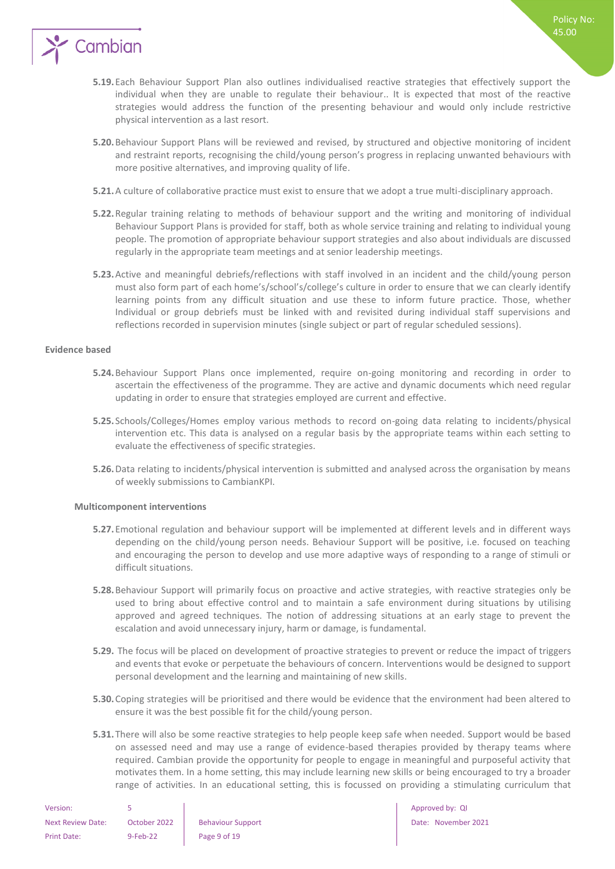

- **5.19.**Each Behaviour Support Plan also outlines individualised reactive strategies that effectively support the individual when they are unable to regulate their behaviour.. It is expected that most of the reactive strategies would address the function of the presenting behaviour and would only include restrictive physical intervention as a last resort.
- **5.20.**Behaviour Support Plans will be reviewed and revised, by structured and objective monitoring of incident and restraint reports, recognising the child/young person's progress in replacing unwanted behaviours with more positive alternatives, and improving quality of life.
- **5.21.**A culture of collaborative practice must exist to ensure that we adopt a true multi-disciplinary approach.
- **5.22.**Regular training relating to methods of behaviour support and the writing and monitoring of individual Behaviour Support Plans is provided for staff, both as whole service training and relating to individual young people. The promotion of appropriate behaviour support strategies and also about individuals are discussed regularly in the appropriate team meetings and at senior leadership meetings.
- **5.23.**Active and meaningful debriefs/reflections with staff involved in an incident and the child/young person must also form part of each home's/school's/college's culture in order to ensure that we can clearly identify learning points from any difficult situation and use these to inform future practice. Those, whether Individual or group debriefs must be linked with and revisited during individual staff supervisions and reflections recorded in supervision minutes (single subject or part of regular scheduled sessions).

#### <span id="page-8-0"></span>**Evidence based**

- **5.24.**Behaviour Support Plans once implemented, require on-going monitoring and recording in order to ascertain the effectiveness of the programme. They are active and dynamic documents which need regular updating in order to ensure that strategies employed are current and effective.
- **5.25.** Schools/Colleges/Homes employ various methods to record on-going data relating to incidents/physical intervention etc. This data is analysed on a regular basis by the appropriate teams within each setting to evaluate the effectiveness of specific strategies.
- **5.26.**Data relating to incidents/physical intervention is submitted and analysed across the organisation by means of weekly submissions to CambianKPI.

#### <span id="page-8-1"></span>**Multicomponent interventions**

- **5.27.**Emotional regulation and behaviour support will be implemented at different levels and in different ways depending on the child/young person needs. Behaviour Support will be positive, i.e. focused on teaching and encouraging the person to develop and use more adaptive ways of responding to a range of stimuli or difficult situations.
- **5.28.**Behaviour Support will primarily focus on proactive and active strategies, with reactive strategies only be used to bring about effective control and to maintain a safe environment during situations by utilising approved and agreed techniques. The notion of addressing situations at an early stage to prevent the escalation and avoid unnecessary injury, harm or damage, is fundamental.
- **5.29.** The focus will be placed on development of proactive strategies to prevent or reduce the impact of triggers and events that evoke or perpetuate the behaviours of concern. Interventions would be designed to support personal development and the learning and maintaining of new skills.
- **5.30.**Coping strategies will be prioritised and there would be evidence that the environment had been altered to ensure it was the best possible fit for the child/young person.
- **5.31.**There will also be some reactive strategies to help people keep safe when needed. Support would be based on assessed need and may use a range of evidence-based therapies provided by therapy teams where required. Cambian provide the opportunity for people to engage in meaningful and purposeful activity that motivates them. In a home setting, this may include learning new skills or being encouraged to try a broader range of activities. In an educational setting, this is focussed on providing a stimulating curriculum that

| Version:                 |              |                        |
|--------------------------|--------------|------------------------|
| <b>Next Review Date:</b> | October 2022 | <b>Behaviour Suppo</b> |
| Print Date:              | 9-Feb-22     | Page 9 of 19           |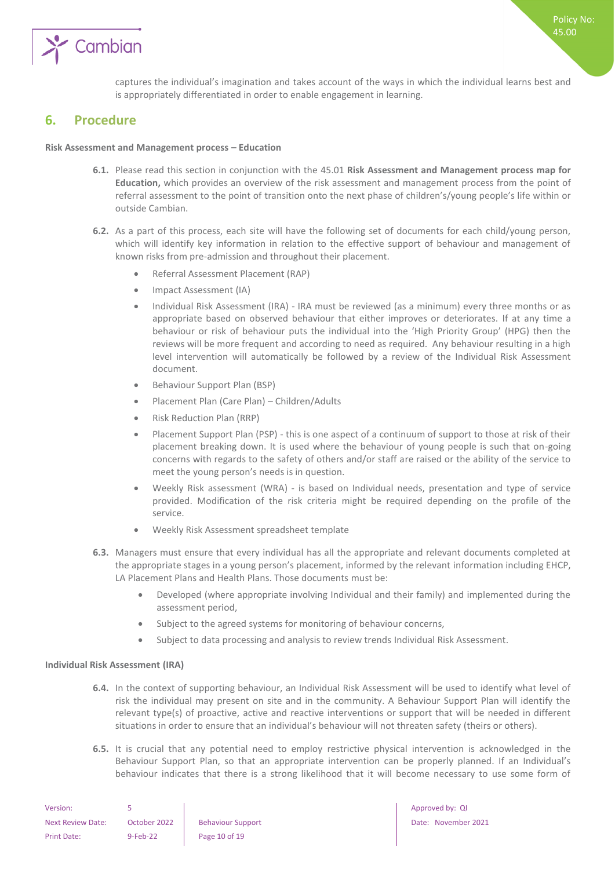

captures the individual's imagination and takes account of the ways in which the individual learns best and is appropriately differentiated in order to enable engagement in learning.

### <span id="page-9-0"></span>**6. Procedure**

#### **Risk Assessment and Management process – Education**

- **6.1.** Please read this section in conjunction with the 45.01 **Risk Assessment and Management process map for Education,** which provides an overview of the risk assessment and management process from the point of referral assessment to the point of transition onto the next phase of children's/young people's life within or outside Cambian.
- **6.2.** As a part of this process, each site will have the following set of documents for each child/young person, which will identify key information in relation to the effective support of behaviour and management of known risks from pre-admission and throughout their placement.
	- Referral Assessment Placement (RAP)
	- Impact Assessment (IA)
	- Individual Risk Assessment (IRA) IRA must be reviewed (as a minimum) every three months or as appropriate based on observed behaviour that either improves or deteriorates. If at any time a behaviour or risk of behaviour puts the individual into the 'High Priority Group' (HPG) then the reviews will be more frequent and according to need as required. Any behaviour resulting in a high level intervention will automatically be followed by a review of the Individual Risk Assessment document.
	- Behaviour Support Plan (BSP)
	- Placement Plan (Care Plan) Children/Adults
	- Risk Reduction Plan (RRP)
	- Placement Support Plan (PSP) this is one aspect of a continuum of support to those at risk of their placement breaking down. It is used where the behaviour of young people is such that on-going concerns with regards to the safety of others and/or staff are raised or the ability of the service to meet the young person's needs is in question.
	- Weekly Risk assessment (WRA) is based on Individual needs, presentation and type of service provided. Modification of the risk criteria might be required depending on the profile of the service.
	- Weekly Risk Assessment spreadsheet template
- **6.3.** Managers must ensure that every individual has all the appropriate and relevant documents completed at the appropriate stages in a young person's placement, informed by the relevant information including EHCP, LA Placement Plans and Health Plans. Those documents must be:
	- Developed (where appropriate involving Individual and their family) and implemented during the assessment period,
	- Subject to the agreed systems for monitoring of behaviour concerns,
	- Subject to data processing and analysis to review trends Individual Risk Assessment.

#### <span id="page-9-1"></span>**Individual Risk Assessment (IRA)**

- **6.4.** In the context of supporting behaviour, an Individual Risk Assessment will be used to identify what level of risk the individual may present on site and in the community. A Behaviour Support Plan will identify the relevant type(s) of proactive, active and reactive interventions or support that will be needed in different situations in order to ensure that an individual's behaviour will not threaten safety (theirs or others).
- **6.5.** It is crucial that any potential need to employ restrictive physical intervention is acknowledged in the Behaviour Support Plan, so that an appropriate intervention can be properly planned. If an Individual's behaviour indicates that there is a strong likelihood that it will become necessary to use some form of

| Version:                 |              |                          |
|--------------------------|--------------|--------------------------|
| <b>Next Review Date:</b> | October 2022 | <b>Behaviour Support</b> |
| Print Date:              | $9-Feb-22$   | Page 10 of 19            |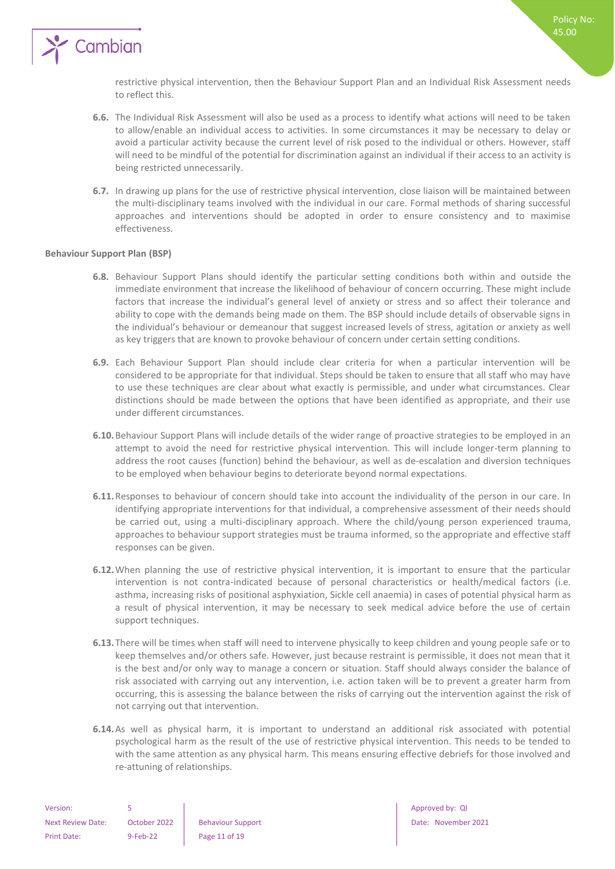

restrictive physical intervention, then the Behaviour Support Plan and an Individual Risk Assessment needs to reflect this.

- **6.6.** The Individual Risk Assessment will also be used as a process to identify what actions will need to be taken to allow/enable an individual access to activities. In some circumstances it may be necessary to delay or avoid a particular activity because the current level of risk posed to the individual or others. However, staff will need to be mindful of the potential for discrimination against an individual if their access to an activity is being restricted unnecessarily.
- **6.7.** In drawing up plans for the use of restrictive physical intervention, close liaison will be maintained between the multi-disciplinary teams involved with the individual in our care. Formal methods of sharing successful approaches and interventions should be adopted in order to ensure consistency and to maximise effectiveness.

#### <span id="page-10-0"></span>**Behaviour Support Plan (BSP)**

- **6.8.** Behaviour Support Plans should identify the particular setting conditions both within and outside the immediate environment that increase the likelihood of behaviour of concern occurring. These might include factors that increase the individual's general level of anxiety or stress and so affect their tolerance and ability to cope with the demands being made on them. The BSP should include details of observable signs in the individual's behaviour or demeanour that suggest increased levels of stress, agitation or anxiety as well as key triggers that are known to provoke behaviour of concern under certain setting conditions.
- **6.9.** Each Behaviour Support Plan should include clear criteria for when a particular intervention will be considered to be appropriate for that individual. Steps should be taken to ensure that all staff who may have to use these techniques are clear about what exactly is permissible, and under what circumstances. Clear distinctions should be made between the options that have been identified as appropriate, and their use under different circumstances.
- **6.10.**Behaviour Support Plans will include details of the wider range of proactive strategies to be employed in an attempt to avoid the need for restrictive physical intervention. This will include longer-term planning to address the root causes (function) behind the behaviour, as well as de-escalation and diversion techniques to be employed when behaviour begins to deteriorate beyond normal expectations.
- **6.11.**Responses to behaviour of concern should take into account the individuality of the person in our care. In identifying appropriate interventions for that individual, a comprehensive assessment of their needs should be carried out, using a multi-disciplinary approach. Where the child/young person experienced trauma, approaches to behaviour support strategies must be trauma informed, so the appropriate and effective staff responses can be given.
- **6.12.**When planning the use of restrictive physical intervention, it is important to ensure that the particular intervention is not contra-indicated because of personal characteristics or health/medical factors (i.e. asthma, increasing risks of positional asphyxiation, Sickle cell anaemia) in cases of potential physical harm as a result of physical intervention, it may be necessary to seek medical advice before the use of certain support techniques.
- **6.13.**There will be times when staff will need to intervene physically to keep children and young people safe or to keep themselves and/or others safe. However, just because restraint is permissible, it does not mean that it is the best and/or only way to manage a concern or situation. Staff should always consider the balance of risk associated with carrying out any intervention, i.e. action taken will be to prevent a greater harm from occurring, this is assessing the balance between the risks of carrying out the intervention against the risk of not carrying out that intervention.
- **6.14.**As well as physical harm, it is important to understand an additional risk associated with potential psychological harm as the result of the use of restrictive physical intervention. This needs to be tended to with the same attention as any physical harm. This means ensuring effective debriefs for those involved and re-attuning of relationships.

| Version:                 |              |                      |
|--------------------------|--------------|----------------------|
| <b>Next Review Date:</b> | October 2022 | <b>Behaviour Sup</b> |
| Print Date:              | $9-Feb-22$   | Page 11 of 19        |

Approved by: QI Next Review Date: November 2021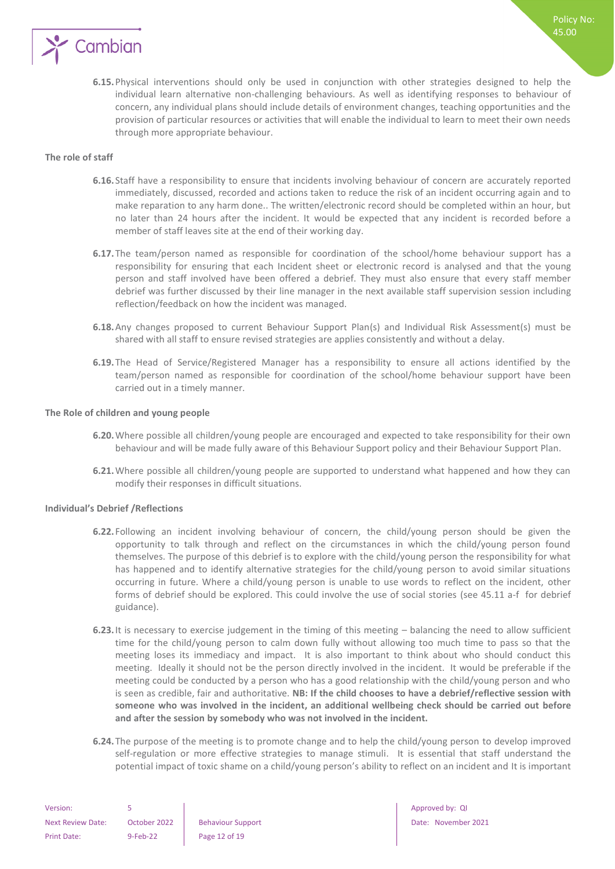

#### <span id="page-11-0"></span>**The role of staff**

- **6.16.** Staff have a responsibility to ensure that incidents involving behaviour of concern are accurately reported immediately, discussed, recorded and actions taken to reduce the risk of an incident occurring again and to make reparation to any harm done.. The written/electronic record should be completed within an hour, but no later than 24 hours after the incident. It would be expected that any incident is recorded before a member of staff leaves site at the end of their working day.
- **6.17.**The team/person named as responsible for coordination of the school/home behaviour support has a responsibility for ensuring that each Incident sheet or electronic record is analysed and that the young person and staff involved have been offered a debrief. They must also ensure that every staff member debrief was further discussed by their line manager in the next available staff supervision session including reflection/feedback on how the incident was managed.
- **6.18.**Any changes proposed to current Behaviour Support Plan(s) and Individual Risk Assessment(s) must be shared with all staff to ensure revised strategies are applies consistently and without a delay.
- **6.19.**The Head of Service/Registered Manager has a responsibility to ensure all actions identified by the team/person named as responsible for coordination of the school/home behaviour support have been carried out in a timely manner.

#### <span id="page-11-1"></span>**The Role of children and young people**

- **6.20.**Where possible all children/young people are encouraged and expected to take responsibility for their own behaviour and will be made fully aware of this Behaviour Support policy and their Behaviour Support Plan.
- **6.21.**Where possible all children/young people are supported to understand what happened and how they can modify their responses in difficult situations.

#### <span id="page-11-2"></span>**Individual's Debrief /Reflections**

- **6.22.** Following an incident involving behaviour of concern, the child/young person should be given the opportunity to talk through and reflect on the circumstances in which the child/young person found themselves. The purpose of this debrief is to explore with the child/young person the responsibility for what has happened and to identify alternative strategies for the child/young person to avoid similar situations occurring in future. Where a child/young person is unable to use words to reflect on the incident, other forms of debrief should be explored. This could involve the use of social stories (see 45.11 a-f for debrief guidance).
- **6.23.**It is necessary to exercise judgement in the timing of this meeting balancing the need to allow sufficient time for the child/young person to calm down fully without allowing too much time to pass so that the meeting loses its immediacy and impact. It is also important to think about who should conduct this meeting. Ideally it should not be the person directly involved in the incident. It would be preferable if the meeting could be conducted by a person who has a good relationship with the child/young person and who is seen as credible, fair and authoritative. **NB: If the child chooses to have a debrief/reflective session with someone who was involved in the incident, an additional wellbeing check should be carried out before and after the session by somebody who was not involved in the incident.**
- **6.24.**The purpose of the meeting is to promote change and to help the child/young person to develop improved self-regulation or more effective strategies to manage stimuli. It is essential that staff understand the potential impact of toxic shame on a child/young person's ability to reflect on an incident and It is important

| Version:                 |              |                      |
|--------------------------|--------------|----------------------|
| <b>Next Review Date:</b> | October 2022 | <b>Behaviour Sup</b> |
| <b>Print Date:</b>       | $9-Feb-22$   | Page 12 of 19        |

Approved by: QI Next Review Date: November 2021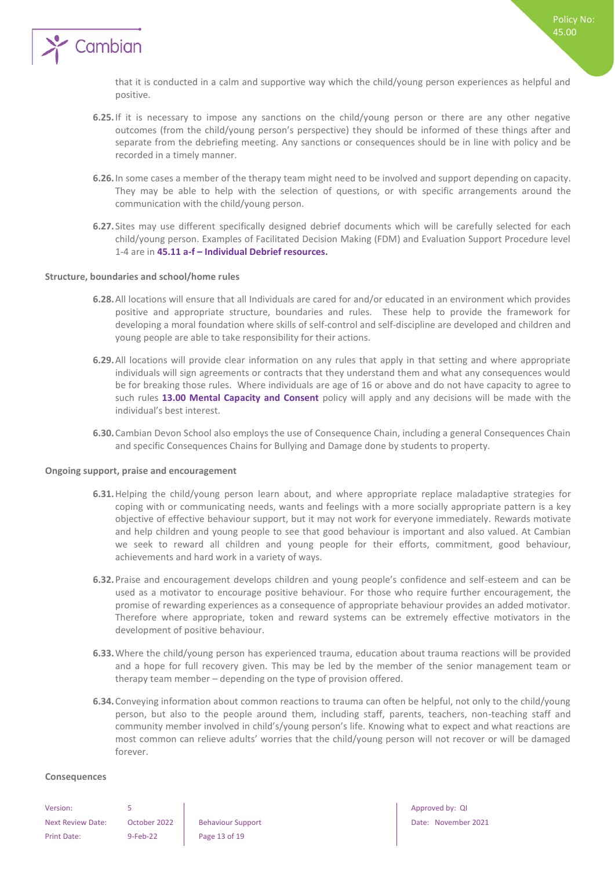

that it is conducted in a calm and supportive way which the child/young person experiences as helpful and positive.

- **6.25.**If it is necessary to impose any sanctions on the child/young person or there are any other negative outcomes (from the child/young person's perspective) they should be informed of these things after and separate from the debriefing meeting. Any sanctions or consequences should be in line with policy and be recorded in a timely manner.
- **6.26.**In some cases a member of the therapy team might need to be involved and support depending on capacity. They may be able to help with the selection of questions, or with specific arrangements around the communication with the child/young person.
- **6.27.** Sites may use different specifically designed debrief documents which will be carefully selected for each child/young person. Examples of Facilitated Decision Making (FDM) and Evaluation Support Procedure level 1-4 are in **45.11 a-f – Individual Debrief resources.**

#### <span id="page-12-0"></span>**Structure, boundaries and school/home rules**

- **6.28.**All locations will ensure that all Individuals are cared for and/or educated in an environment which provides positive and appropriate structure, boundaries and rules. These help to provide the framework for developing a moral foundation where skills of self-control and self-discipline are developed and children and young people are able to take responsibility for their actions.
- **6.29.**All locations will provide clear information on any rules that apply in that setting and where appropriate individuals will sign agreements or contracts that they understand them and what any consequences would be for breaking those rules. Where individuals are age of 16 or above and do not have capacity to agree to such rules **13.00 Mental Capacity and Consent** policy will apply and any decisions will be made with the individual's best interest.
- **6.30.**Cambian Devon School also employs the use of Consequence Chain, including a general Consequences Chain and specific Consequences Chains for Bullying and Damage done by students to property.

#### <span id="page-12-1"></span>**Ongoing support, praise and encouragement**

- **6.31.**Helping the child/young person learn about, and where appropriate replace maladaptive strategies for coping with or communicating needs, wants and feelings with a more socially appropriate pattern is a key objective of effective behaviour support, but it may not work for everyone immediately. Rewards motivate and help children and young people to see that good behaviour is important and also valued. At Cambian we seek to reward all children and young people for their efforts, commitment, good behaviour, achievements and hard work in a variety of ways.
- **6.32.**Praise and encouragement develops children and young people's confidence and self-esteem and can be used as a motivator to encourage positive behaviour. For those who require further encouragement, the promise of rewarding experiences as a consequence of appropriate behaviour provides an added motivator. Therefore where appropriate, token and reward systems can be extremely effective motivators in the development of positive behaviour.
- **6.33.**Where the child/young person has experienced trauma, education about trauma reactions will be provided and a hope for full recovery given. This may be led by the member of the senior management team or therapy team member – depending on the type of provision offered.
- **6.34.**Conveying information about common reactions to trauma can often be helpful, not only to the child/young person, but also to the people around them, including staff, parents, teachers, non-teaching staff and community member involved in child's/young person's life. Knowing what to expect and what reactions are most common can relieve adults' worries that the child/young person will not recover or will be damaged forever.

#### <span id="page-12-2"></span>**Consequences**

| Version:                 | 5         |
|--------------------------|-----------|
| <b>Next Review Date:</b> | Octob     |
| Print Date:              | $9$ -Feb- |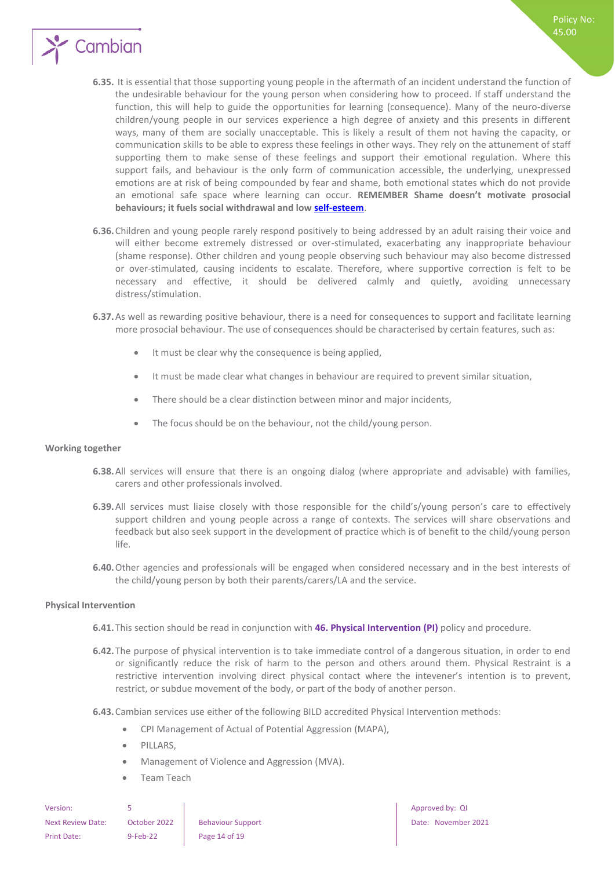

- **6.35.** It is essential that those supporting young people in the aftermath of an incident understand the function of the undesirable behaviour for the young person when considering how to proceed. If staff understand the function, this will help to guide the opportunities for learning (consequence). Many of the neuro-diverse children/young people in our services experience a high degree of anxiety and this presents in different ways, many of them are socially unacceptable. This is likely a result of them not having the capacity, or communication skills to be able to express these feelings in other ways. They rely on the attunement of staff supporting them to make sense of these feelings and support their emotional regulation. Where this support fails, and behaviour is the only form of communication accessible, the underlying, unexpressed emotions are at risk of being compounded by fear and shame, both emotional states which do not provide an emotional safe space where learning can occur. **REMEMBER Shame doesn't motivate prosocial behaviours; it fuels social withdrawal and low [self-esteem](https://www.psychologytoday.com/us/basics/self-esteem)**.
- **6.36.**Children and young people rarely respond positively to being addressed by an adult raising their voice and will either become extremely distressed or over-stimulated, exacerbating any inappropriate behaviour (shame response). Other children and young people observing such behaviour may also become distressed or over-stimulated, causing incidents to escalate. Therefore, where supportive correction is felt to be necessary and effective, it should be delivered calmly and quietly, avoiding unnecessary distress/stimulation.
- **6.37.**As well as rewarding positive behaviour, there is a need for consequences to support and facilitate learning more prosocial behaviour. The use of consequences should be characterised by certain features, such as:
	- It must be clear why the consequence is being applied,
	- It must be made clear what changes in behaviour are required to prevent similar situation,
	- There should be a clear distinction between minor and major incidents,
	- The focus should be on the behaviour, not the child/young person.

#### <span id="page-13-0"></span>**Working together**

- **6.38.**All services will ensure that there is an ongoing dialog (where appropriate and advisable) with families, carers and other professionals involved.
- **6.39.**All services must liaise closely with those responsible for the child's/young person's care to effectively support children and young people across a range of contexts. The services will share observations and feedback but also seek support in the development of practice which is of benefit to the child/young person life.
- **6.40.**Other agencies and professionals will be engaged when considered necessary and in the best interests of the child/young person by both their parents/carers/LA and the service.

#### <span id="page-13-1"></span>**Physical Intervention**

- **6.41.**This section should be read in conjunction with **46. Physical Intervention (PI)** policy and procedure.
- **6.42.**The purpose of physical intervention is to take immediate control of a dangerous situation, in order to end or significantly reduce the risk of harm to the person and others around them. Physical Restraint is a restrictive intervention involving direct physical contact where the intevener's intention is to prevent, restrict, or subdue movement of the body, or part of the body of another person.
- **6.43.**Cambian services use either of the following BILD accredited Physical Intervention methods:
	- CPI Management of Actual of Potential Aggression (MAPA),
	- PILLARS.
	- Management of Violence and Aggression (MVA).
	- Team Teach

| Version:                 |              |                          |
|--------------------------|--------------|--------------------------|
| <b>Next Review Date:</b> | October 2022 | <b>Behaviour Support</b> |
| Print Date:              | $9-Feb-22$   | Page 14 of 19            |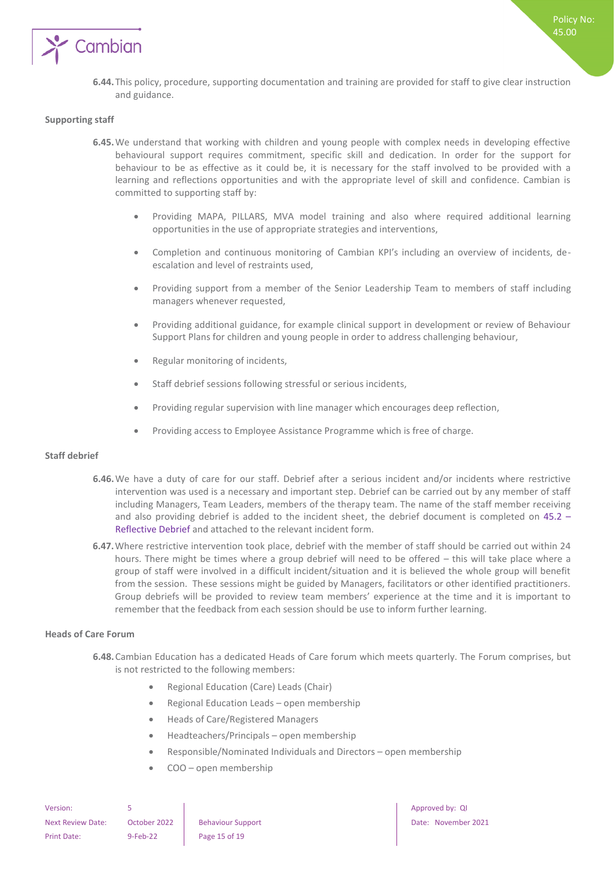

#### <span id="page-14-0"></span>**Supporting staff**

- **6.45.**We understand that working with children and young people with complex needs in developing effective behavioural support requires commitment, specific skill and dedication. In order for the support for behaviour to be as effective as it could be, it is necessary for the staff involved to be provided with a learning and reflections opportunities and with the appropriate level of skill and confidence. Cambian is committed to supporting staff by:
	- Providing MAPA, PILLARS, MVA model training and also where required additional learning opportunities in the use of appropriate strategies and interventions,
	- Completion and continuous monitoring of Cambian KPI's including an overview of incidents, deescalation and level of restraints used,
	- Providing support from a member of the Senior Leadership Team to members of staff including managers whenever requested,
	- Providing additional guidance, for example clinical support in development or review of Behaviour Support Plans for children and young people in order to address challenging behaviour,
	- Regular monitoring of incidents,
	- Staff debrief sessions following stressful or serious incidents,
	- Providing regular supervision with line manager which encourages deep reflection,
	- Providing access to Employee Assistance Programme which is free of charge.

#### <span id="page-14-1"></span>**Staff debrief**

- **6.46.**We have a duty of care for our staff. Debrief after a serious incident and/or incidents where restrictive intervention was used is a necessary and important step. Debrief can be carried out by any member of staff including Managers, Team Leaders, members of the therapy team. The name of the staff member receiving and also providing debrief is added to the incident sheet, the debrief document is completed on 45.2 – Reflective Debrief and attached to the relevant incident form.
- **6.47.**Where restrictive intervention took place, debrief with the member of staff should be carried out within 24 hours. There might be times where a group debrief will need to be offered – this will take place where a group of staff were involved in a difficult incident/situation and it is believed the whole group will benefit from the session. These sessions might be guided by Managers, facilitators or other identified practitioners. Group debriefs will be provided to review team members' experience at the time and it is important to remember that the feedback from each session should be use to inform further learning.

#### <span id="page-14-2"></span>**Heads of Care Forum**

- **6.48.**Cambian Education has a dedicated Heads of Care forum which meets quarterly. The Forum comprises, but is not restricted to the following members:
	- Regional Education (Care) Leads (Chair)
	- Regional Education Leads open membership
	- Heads of Care/Registered Managers
	- Headteachers/Principals open membership
	- Responsible/Nominated Individuals and Directors open membership
	- COO open membership

| Version:                 |              |    |
|--------------------------|--------------|----|
| <b>Next Review Date:</b> | October 2022 | Вe |
| <b>Print Date:</b>       | $9-Feb-22$   | Pa |

ge 15 of 19

Approved by: QI Phaviour Support **Contract Review Date: November 2021**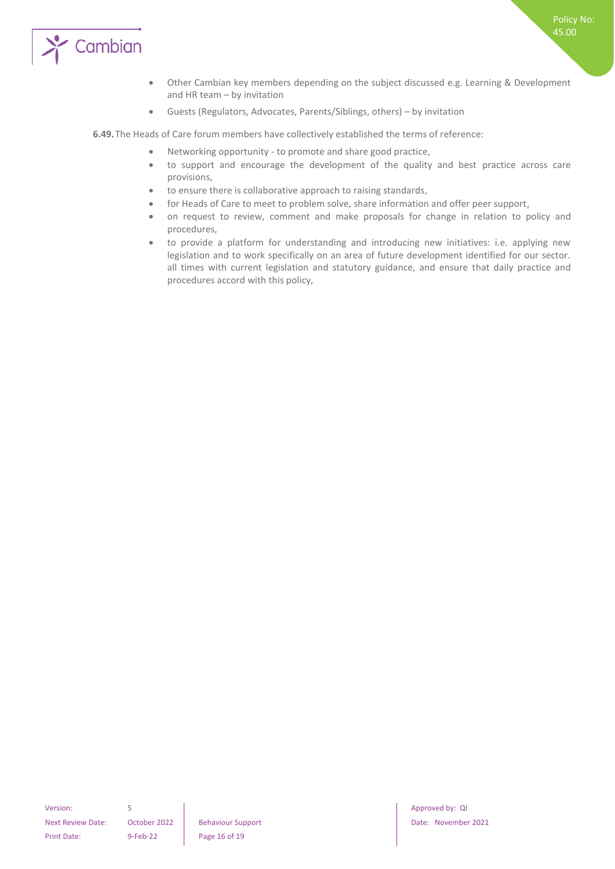

- Other Cambian key members depending on the subject discussed e.g. Learning & Development and HR team – by invitation
- Guests (Regulators, Advocates, Parents/Siblings, others) by invitation

**6.49.**The Heads of Care forum members have collectively established the terms of reference:

- Networking opportunity to promote and share good practice,
- to support and encourage the development of the quality and best practice across care provisions,
- to ensure there is collaborative approach to raising standards,
- for Heads of Care to meet to problem solve, share information and offer peer support,
- on request to review, comment and make proposals for change in relation to policy and procedures,
- to provide a platform for understanding and introducing new initiatives: i.e. applying new legislation and to work specifically on an area of future development identified for our sector. all times with current legislation and statutory guidance, and ensure that daily practice and procedures accord with this policy,

Version: 5 Approved by: QI Approved by: QI Approved by: QI Approved by: QI Approved by: QI Print Date: 9-Feb-22 Page 16 of 19

Policy No: 45.00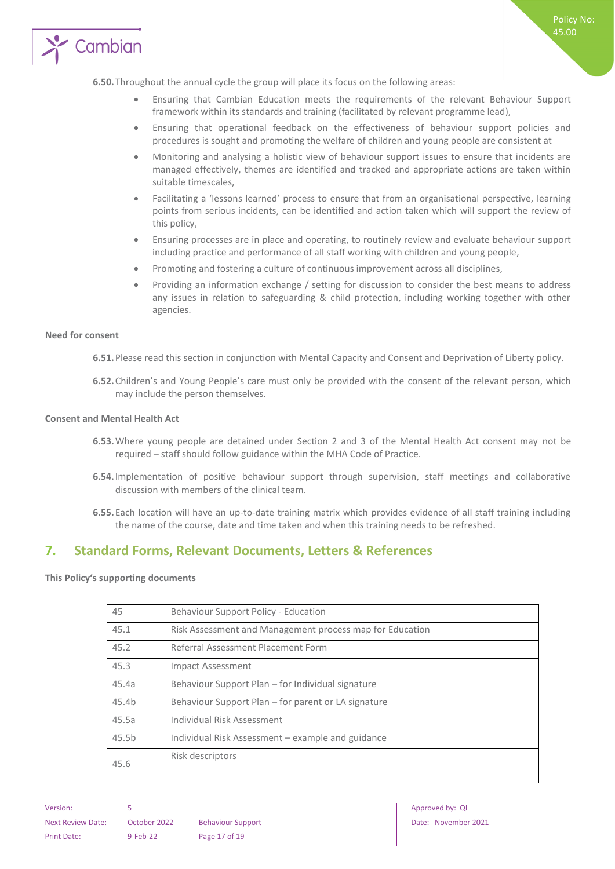

- Ensuring that Cambian Education meets the requirements of the relevant Behaviour Support framework within its standards and training (facilitated by relevant programme lead),
- Ensuring that operational feedback on the effectiveness of behaviour support policies and procedures is sought and promoting the welfare of children and young people are consistent at
- Monitoring and analysing a holistic view of behaviour support issues to ensure that incidents are managed effectively, themes are identified and tracked and appropriate actions are taken within suitable timescales,
- Facilitating a 'lessons learned' process to ensure that from an organisational perspective, learning points from serious incidents, can be identified and action taken which will support the review of this policy,
- Ensuring processes are in place and operating, to routinely review and evaluate behaviour support including practice and performance of all staff working with children and young people,
- Promoting and fostering a culture of continuous improvement across all disciplines,
- Providing an information exchange / setting for discussion to consider the best means to address any issues in relation to safeguarding & child protection, including working together with other agencies.

#### <span id="page-16-0"></span>**Need for consent**

**6.51.**Please read this section in conjunction with Mental Capacity and Consent and Deprivation of Liberty policy.

**6.52.**Children's and Young People's care must only be provided with the consent of the relevant person, which may include the person themselves.

#### <span id="page-16-1"></span>**Consent and Mental Health Act**

- **6.53.**Where young people are detained under Section 2 and 3 of the Mental Health Act consent may not be required – staff should follow guidance within the MHA Code of Practice.
- **6.54.**Implementation of positive behaviour support through supervision, staff meetings and collaborative discussion with members of the clinical team.
- **6.55.**Each location will have an up-to-date training matrix which provides evidence of all staff training including the name of the course, date and time taken and when this training needs to be refreshed.

## <span id="page-16-2"></span>**7. Standard Forms, Relevant Documents, Letters & References**

#### <span id="page-16-3"></span>**This Policy's supporting documents**

| 45                | Behaviour Support Policy - Education                     |
|-------------------|----------------------------------------------------------|
| 45.1              | Risk Assessment and Management process map for Education |
| 45.2              | Referral Assessment Placement Form                       |
| 45.3              | <b>Impact Assessment</b>                                 |
| 45.4a             | Behaviour Support Plan – for Individual signature        |
| 45.4b             | Behaviour Support Plan – for parent or LA signature      |
| 45.5a             | Individual Risk Assessment                               |
| 45.5 <sub>b</sub> | Individual Risk Assessment - example and guidance        |
| 45.6              | Risk descriptors                                         |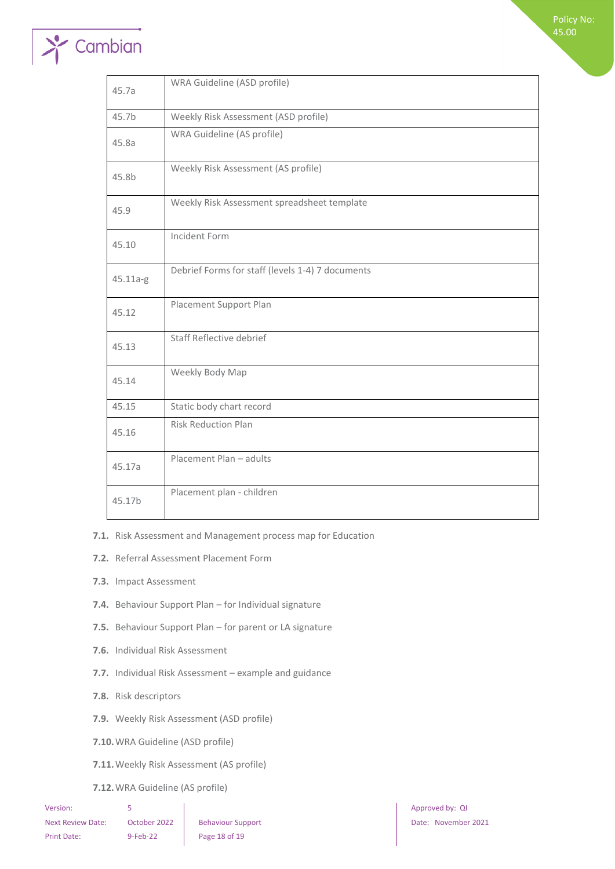Policy No: 45.00

# Cambian

| 45.7a    | WRA Guideline (ASD profile)                      |
|----------|--------------------------------------------------|
| 45.7b    | Weekly Risk Assessment (ASD profile)             |
| 45.8a    | WRA Guideline (AS profile)                       |
| 45.8b    | Weekly Risk Assessment (AS profile)              |
| 45.9     | Weekly Risk Assessment spreadsheet template      |
| 45.10    | Incident Form                                    |
| 45.11a-g | Debrief Forms for staff (levels 1-4) 7 documents |
| 45.12    | Placement Support Plan                           |
| 45.13    | Staff Reflective debrief                         |
| 45.14    | Weekly Body Map                                  |
| 45.15    | Static body chart record                         |
| 45.16    | <b>Risk Reduction Plan</b>                       |
| 45.17a   | Placement Plan - adults                          |
| 45.17b   | Placement plan - children                        |

**7.1.** Risk Assessment and Management process map for Education

**7.2.** Referral Assessment Placement Form

- **7.3.** Impact Assessment
- **7.4.** Behaviour Support Plan for Individual signature
- **7.5.** Behaviour Support Plan for parent or LA signature
- **7.6.** Individual Risk Assessment
- **7.7.** Individual Risk Assessment example and guidance
- **7.8.** Risk descriptors
- **7.9.** Weekly Risk Assessment (ASD profile)
- **7.10.**WRA Guideline (ASD profile)
- **7.11.**Weekly Risk Assessment (AS profile)
- **7.12.**WRA Guideline (AS profile)

| Version:          |              |                        |
|-------------------|--------------|------------------------|
| Next Review Date: | October 2022 | <b>Behaviour Suppo</b> |
| Print Date:       | $9-Feb-22$   | Page 18 of 19          |